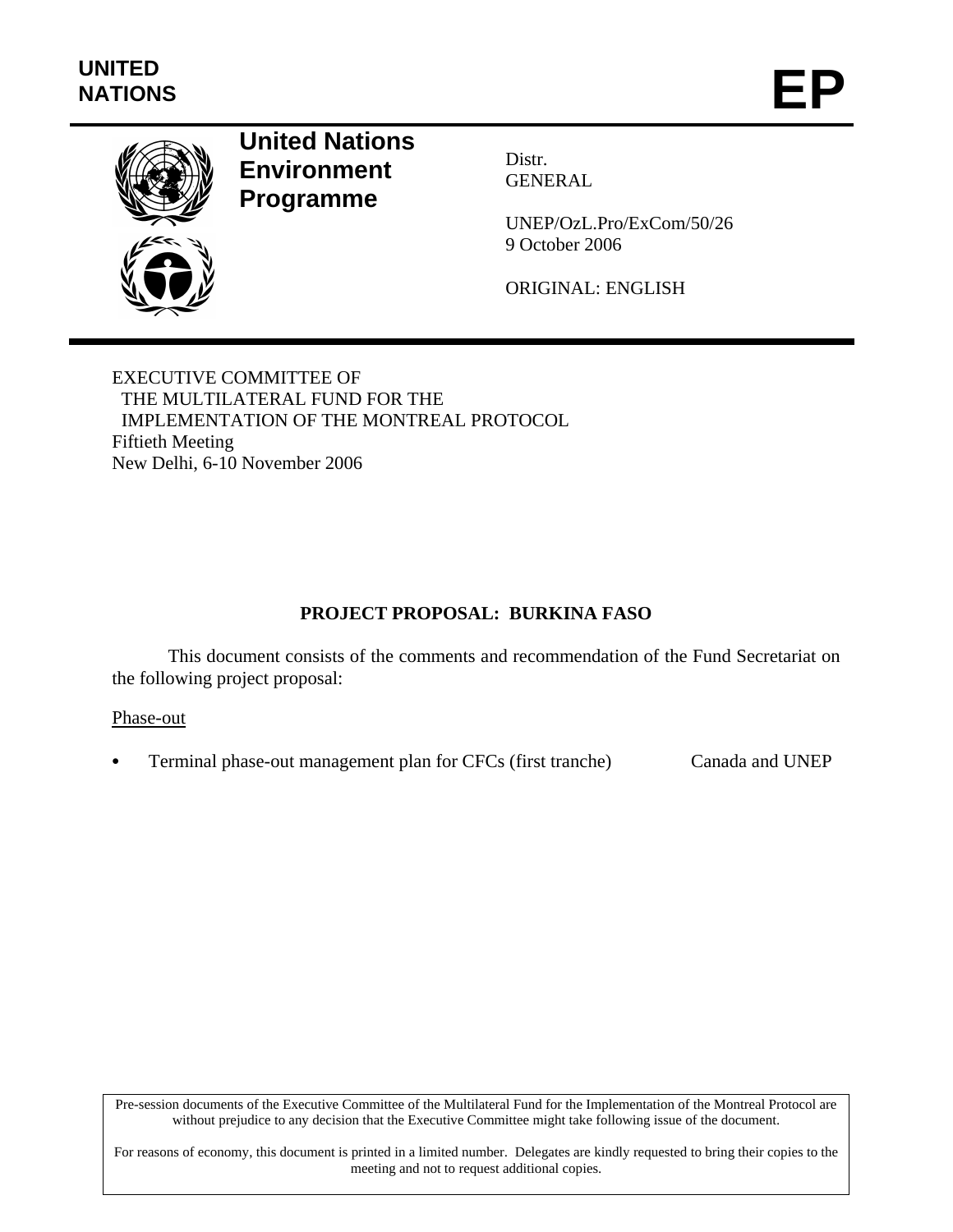

# **United Nations Environment Programme**

Distr. GENERAL

UNEP/OzL.Pro/ExCom/50/26 9 October 2006

ORIGINAL: ENGLISH

EXECUTIVE COMMITTEE OF THE MULTILATERAL FUND FOR THE IMPLEMENTATION OF THE MONTREAL PROTOCOL Fiftieth Meeting New Delhi, 6-10 November 2006

# **PROJECT PROPOSAL: BURKINA FASO**

This document consists of the comments and recommendation of the Fund Secretariat on the following project proposal:

#### Phase-out

• Terminal phase-out management plan for CFCs (first tranche) Canada and UNEP

Pre-session documents of the Executive Committee of the Multilateral Fund for the Implementation of the Montreal Protocol are without prejudice to any decision that the Executive Committee might take following issue of the document.

For reasons of economy, this document is printed in a limited number. Delegates are kindly requested to bring their copies to the meeting and not to request additional copies.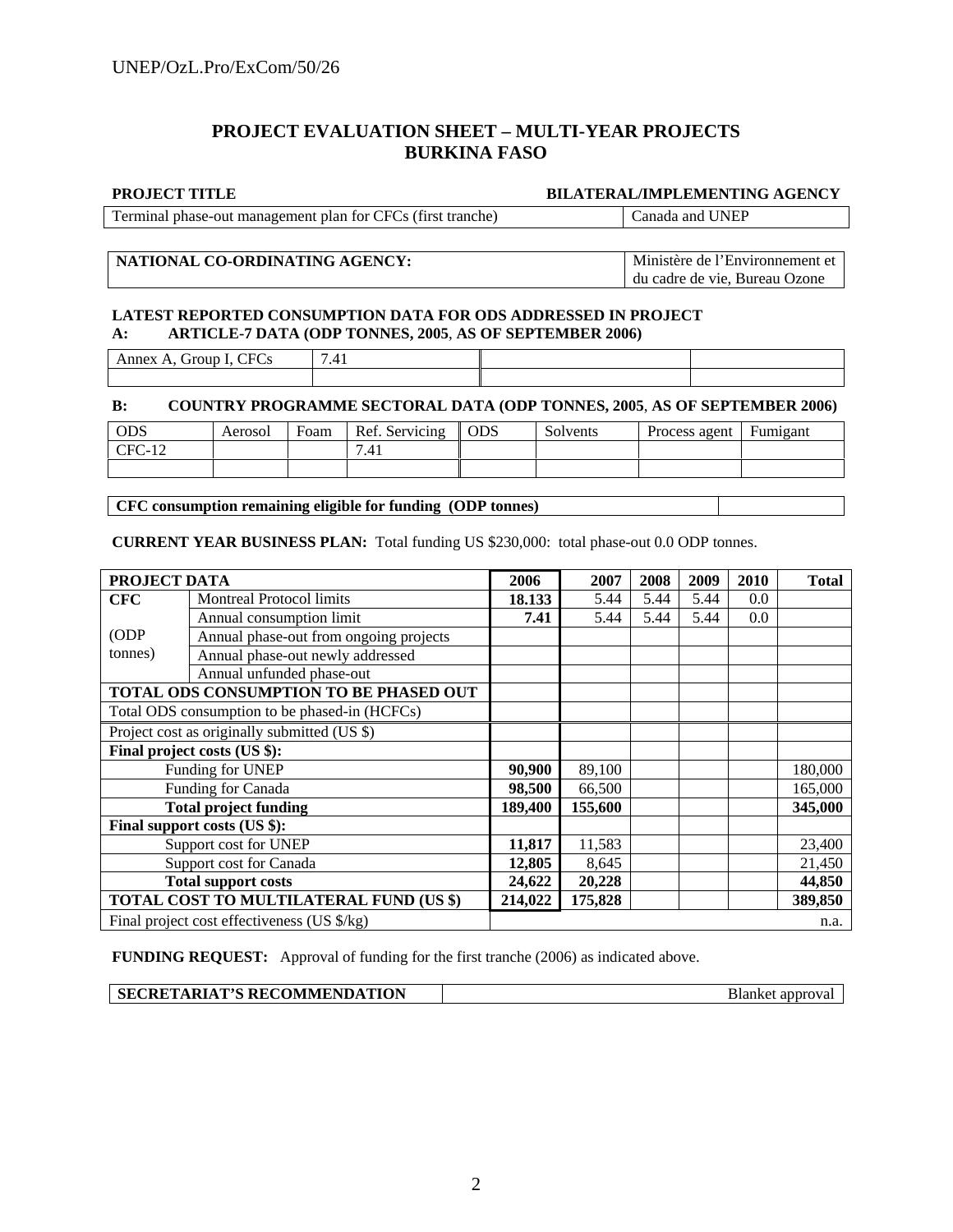#### **PROJECT EVALUATION SHEET – MULTI-YEAR PROJECTS BURKINA FASO**

#### **PROJECT TITLE BILATERAL/IMPLEMENTING AGENCY**

Terminal phase-out management plan for CFCs (first tranche) Canada and UNEP

#### **NATIONAL CO-ORDINATING AGENCY:** Ministère de l'Environnement et du cadre de vie, Bureau Ozone

#### **LATEST REPORTED CONSUMPTION DATA FOR ODS ADDRESSED IN PROJECT A: ARTICLE-7 DATA (ODP TONNES, 2005**, **AS OF SEPTEMBER 2006)**

| CFC<br>mnex<br><br>$\mathbf{v}$<br>∽u⊾<br>.<br>◡ | ≖ |  |
|--------------------------------------------------|---|--|
|                                                  |   |  |

#### **B: COUNTRY PROGRAMME SECTORAL DATA (ODP TONNES, 2005**, **AS OF SEPTEMBER 2006)**

| <b>ODS</b>                  | Aerosol | Foam | Ref. Servicing | <b>ODS</b> | $\sim$<br>Solvents | Process agent | Fumigant |
|-----------------------------|---------|------|----------------|------------|--------------------|---------------|----------|
| $CFC-$<br>$1 \cap$<br>°C-12 |         |      | .41            |            |                    |               |          |
|                             |         |      |                |            |                    |               |          |

#### **CFC consumption remaining eligible for funding (ODP tonnes)**

**CURRENT YEAR BUSINESS PLAN:** Total funding US \$230,000: total phase-out 0.0 ODP tonnes.

| PROJECT DATA                                 |                                               | 2006   | 2007    | 2008 | 2009 | 2010 | <b>Total</b> |
|----------------------------------------------|-----------------------------------------------|--------|---------|------|------|------|--------------|
| <b>CFC</b>                                   | <b>Montreal Protocol limits</b>               | 18.133 | 5.44    | 5.44 | 5.44 | 0.0  |              |
|                                              | Annual consumption limit                      | 7.41   | 5.44    | 5.44 | 5.44 | 0.0  |              |
| (ODP                                         | Annual phase-out from ongoing projects        |        |         |      |      |      |              |
| tonnes)                                      | Annual phase-out newly addressed              |        |         |      |      |      |              |
|                                              | Annual unfunded phase-out                     |        |         |      |      |      |              |
|                                              | TOTAL ODS CONSUMPTION TO BE PHASED OUT        |        |         |      |      |      |              |
|                                              | Total ODS consumption to be phased-in (HCFCs) |        |         |      |      |      |              |
| Project cost as originally submitted (US \$) |                                               |        |         |      |      |      |              |
|                                              | Final project costs (US \$):                  |        |         |      |      |      |              |
| Funding for UNEP                             |                                               | 90,900 | 89,100  |      |      |      | 180,000      |
| Funding for Canada                           |                                               | 98,500 | 66,500  |      |      |      | 165,000      |
| <b>Total project funding</b>                 |                                               |        | 155,600 |      |      |      | 345,000      |
|                                              | Final support costs (US \$):                  |        |         |      |      |      |              |
| Support cost for UNEP                        |                                               | 11,817 | 11,583  |      |      |      | 23,400       |
| Support cost for Canada                      |                                               | 12,805 | 8,645   |      |      |      | 21,450       |
| <b>Total support costs</b>                   |                                               | 24,622 | 20,228  |      |      |      | 44,850       |
|                                              | TOTAL COST TO MULTILATERAL FUND (US \$)       |        | 175,828 |      |      |      | 389,850      |
|                                              | Final project cost effectiveness (US \$/kg)   |        |         |      |      |      | n.a.         |

**FUNDING REQUEST:** Approval of funding for the first tranche (2006) as indicated above.

| <b>SECRETARIAT'S RECOMMENDATION</b> | Blanket approval |
|-------------------------------------|------------------|
|-------------------------------------|------------------|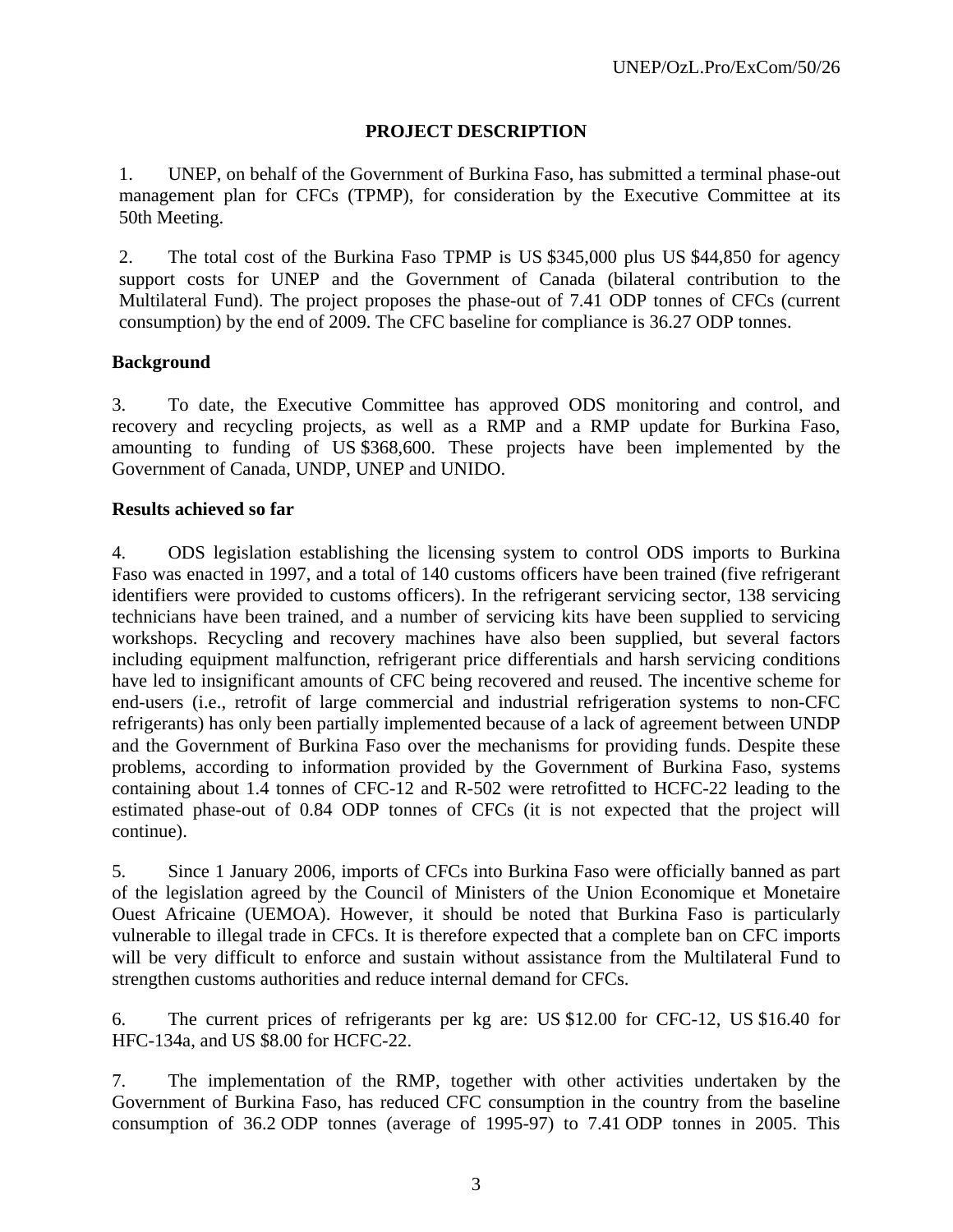#### **PROJECT DESCRIPTION**

1. UNEP, on behalf of the Government of Burkina Faso, has submitted a terminal phase-out management plan for CFCs (TPMP), for consideration by the Executive Committee at its 50th Meeting.

2. The total cost of the Burkina Faso TPMP is US \$345,000 plus US \$44,850 for agency support costs for UNEP and the Government of Canada (bilateral contribution to the Multilateral Fund). The project proposes the phase-out of 7.41 ODP tonnes of CFCs (current consumption) by the end of 2009. The CFC baseline for compliance is 36.27 ODP tonnes.

#### **Background**

3. To date, the Executive Committee has approved ODS monitoring and control, and recovery and recycling projects, as well as a RMP and a RMP update for Burkina Faso, amounting to funding of US \$368,600. These projects have been implemented by the Government of Canada, UNDP, UNEP and UNIDO.

#### **Results achieved so far**

4. ODS legislation establishing the licensing system to control ODS imports to Burkina Faso was enacted in 1997, and a total of 140 customs officers have been trained (five refrigerant identifiers were provided to customs officers). In the refrigerant servicing sector, 138 servicing technicians have been trained, and a number of servicing kits have been supplied to servicing workshops. Recycling and recovery machines have also been supplied, but several factors including equipment malfunction, refrigerant price differentials and harsh servicing conditions have led to insignificant amounts of CFC being recovered and reused. The incentive scheme for end-users (i.e., retrofit of large commercial and industrial refrigeration systems to non-CFC refrigerants) has only been partially implemented because of a lack of agreement between UNDP and the Government of Burkina Faso over the mechanisms for providing funds. Despite these problems, according to information provided by the Government of Burkina Faso, systems containing about 1.4 tonnes of CFC-12 and R-502 were retrofitted to HCFC-22 leading to the estimated phase-out of 0.84 ODP tonnes of CFCs (it is not expected that the project will continue).

5. Since 1 January 2006, imports of CFCs into Burkina Faso were officially banned as part of the legislation agreed by the Council of Ministers of the Union Economique et Monetaire Ouest Africaine (UEMOA). However, it should be noted that Burkina Faso is particularly vulnerable to illegal trade in CFCs. It is therefore expected that a complete ban on CFC imports will be very difficult to enforce and sustain without assistance from the Multilateral Fund to strengthen customs authorities and reduce internal demand for CFCs.

6. The current prices of refrigerants per kg are: US \$12.00 for CFC-12, US \$16.40 for HFC-134a, and US \$8.00 for HCFC-22.

7. The implementation of the RMP, together with other activities undertaken by the Government of Burkina Faso, has reduced CFC consumption in the country from the baseline consumption of 36.2 ODP tonnes (average of 1995-97) to 7.41 ODP tonnes in 2005. This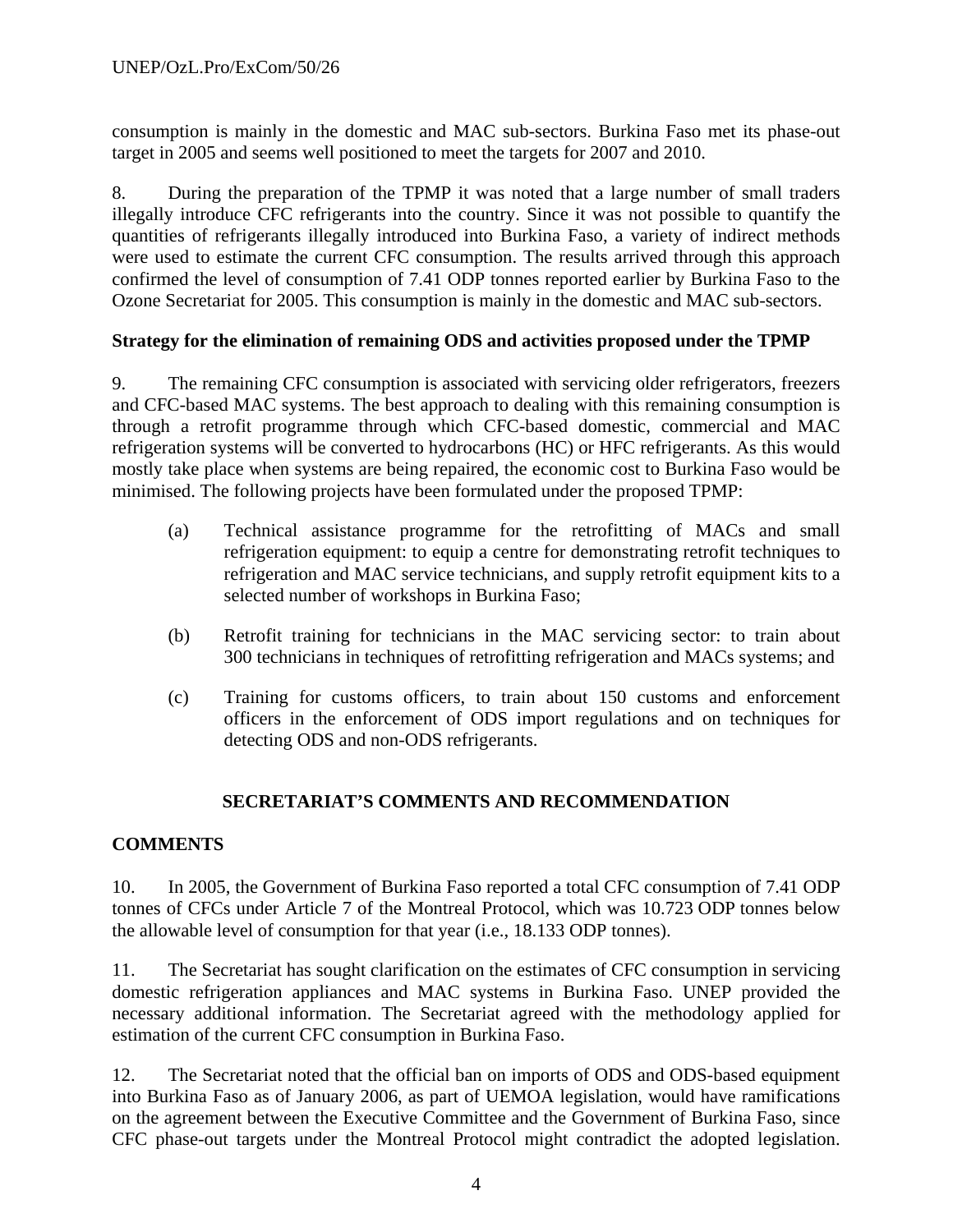consumption is mainly in the domestic and MAC sub-sectors. Burkina Faso met its phase-out target in 2005 and seems well positioned to meet the targets for 2007 and 2010.

8. During the preparation of the TPMP it was noted that a large number of small traders illegally introduce CFC refrigerants into the country. Since it was not possible to quantify the quantities of refrigerants illegally introduced into Burkina Faso, a variety of indirect methods were used to estimate the current CFC consumption. The results arrived through this approach confirmed the level of consumption of 7.41 ODP tonnes reported earlier by Burkina Faso to the Ozone Secretariat for 2005. This consumption is mainly in the domestic and MAC sub-sectors.

#### **Strategy for the elimination of remaining ODS and activities proposed under the TPMP**

9. The remaining CFC consumption is associated with servicing older refrigerators, freezers and CFC-based MAC systems. The best approach to dealing with this remaining consumption is through a retrofit programme through which CFC-based domestic, commercial and MAC refrigeration systems will be converted to hydrocarbons (HC) or HFC refrigerants. As this would mostly take place when systems are being repaired, the economic cost to Burkina Faso would be minimised. The following projects have been formulated under the proposed TPMP:

- (a) Technical assistance programme for the retrofitting of MACs and small refrigeration equipment: to equip a centre for demonstrating retrofit techniques to refrigeration and MAC service technicians, and supply retrofit equipment kits to a selected number of workshops in Burkina Faso;
- (b) Retrofit training for technicians in the MAC servicing sector: to train about 300 technicians in techniques of retrofitting refrigeration and MACs systems; and
- (c) Training for customs officers, to train about 150 customs and enforcement officers in the enforcement of ODS import regulations and on techniques for detecting ODS and non-ODS refrigerants.

#### **SECRETARIAT'S COMMENTS AND RECOMMENDATION**

#### **COMMENTS**

10. In 2005, the Government of Burkina Faso reported a total CFC consumption of 7.41 ODP tonnes of CFCs under Article 7 of the Montreal Protocol, which was 10.723 ODP tonnes below the allowable level of consumption for that year (i.e., 18.133 ODP tonnes).

11. The Secretariat has sought clarification on the estimates of CFC consumption in servicing domestic refrigeration appliances and MAC systems in Burkina Faso. UNEP provided the necessary additional information. The Secretariat agreed with the methodology applied for estimation of the current CFC consumption in Burkina Faso.

12. The Secretariat noted that the official ban on imports of ODS and ODS-based equipment into Burkina Faso as of January 2006, as part of UEMOA legislation, would have ramifications on the agreement between the Executive Committee and the Government of Burkina Faso, since CFC phase-out targets under the Montreal Protocol might contradict the adopted legislation.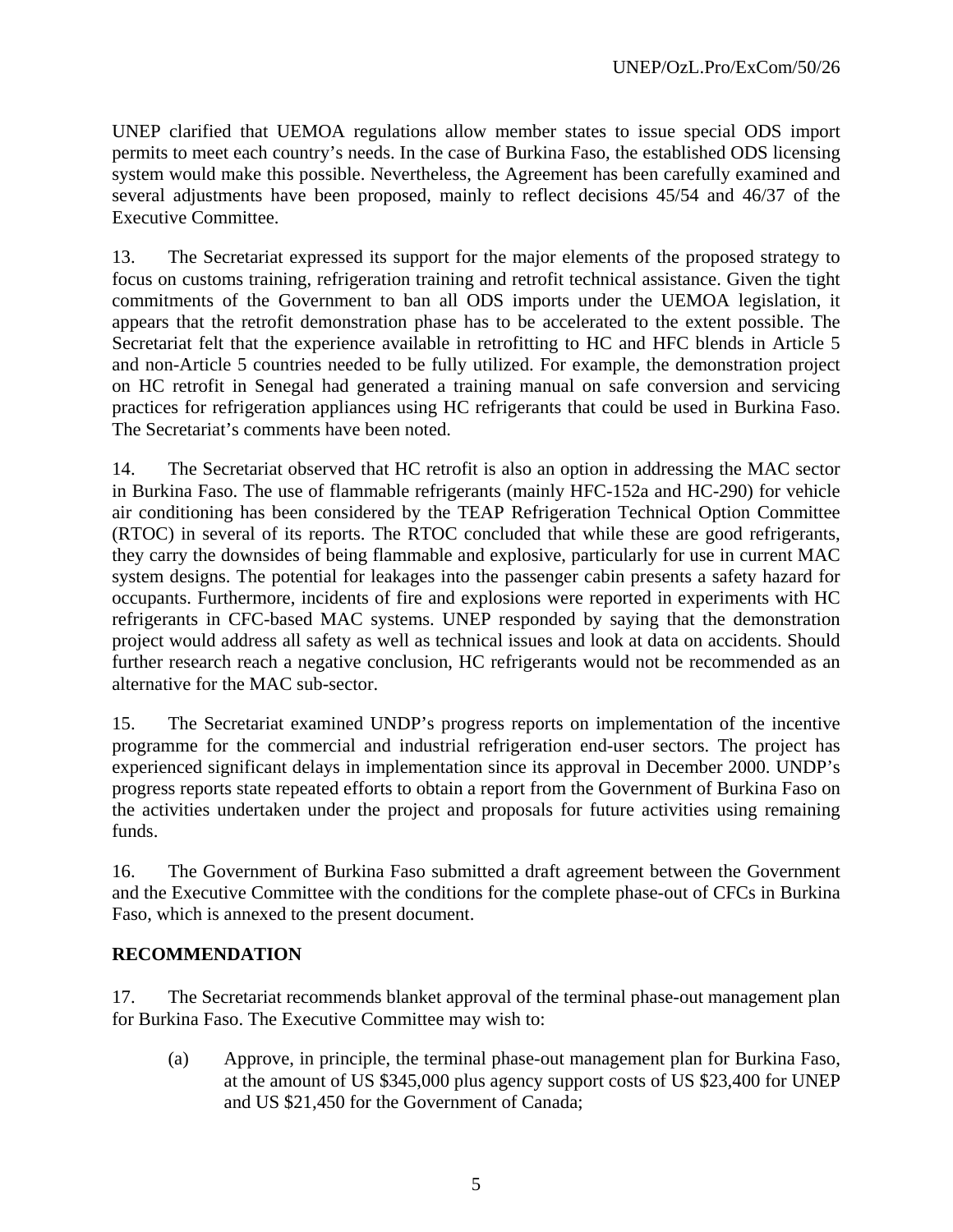UNEP clarified that UEMOA regulations allow member states to issue special ODS import permits to meet each country's needs. In the case of Burkina Faso, the established ODS licensing system would make this possible. Nevertheless, the Agreement has been carefully examined and several adjustments have been proposed, mainly to reflect decisions 45/54 and 46/37 of the Executive Committee.

13. The Secretariat expressed its support for the major elements of the proposed strategy to focus on customs training, refrigeration training and retrofit technical assistance. Given the tight commitments of the Government to ban all ODS imports under the UEMOA legislation, it appears that the retrofit demonstration phase has to be accelerated to the extent possible. The Secretariat felt that the experience available in retrofitting to HC and HFC blends in Article 5 and non-Article 5 countries needed to be fully utilized. For example, the demonstration project on HC retrofit in Senegal had generated a training manual on safe conversion and servicing practices for refrigeration appliances using HC refrigerants that could be used in Burkina Faso. The Secretariat's comments have been noted.

14. The Secretariat observed that HC retrofit is also an option in addressing the MAC sector in Burkina Faso. The use of flammable refrigerants (mainly HFC-152a and HC-290) for vehicle air conditioning has been considered by the TEAP Refrigeration Technical Option Committee (RTOC) in several of its reports. The RTOC concluded that while these are good refrigerants, they carry the downsides of being flammable and explosive, particularly for use in current MAC system designs. The potential for leakages into the passenger cabin presents a safety hazard for occupants. Furthermore, incidents of fire and explosions were reported in experiments with HC refrigerants in CFC-based MAC systems. UNEP responded by saying that the demonstration project would address all safety as well as technical issues and look at data on accidents. Should further research reach a negative conclusion, HC refrigerants would not be recommended as an alternative for the MAC sub-sector.

15. The Secretariat examined UNDP's progress reports on implementation of the incentive programme for the commercial and industrial refrigeration end-user sectors. The project has experienced significant delays in implementation since its approval in December 2000. UNDP's progress reports state repeated efforts to obtain a report from the Government of Burkina Faso on the activities undertaken under the project and proposals for future activities using remaining funds.

16. The Government of Burkina Faso submitted a draft agreement between the Government and the Executive Committee with the conditions for the complete phase-out of CFCs in Burkina Faso, which is annexed to the present document.

#### **RECOMMENDATION**

17. The Secretariat recommends blanket approval of the terminal phase-out management plan for Burkina Faso. The Executive Committee may wish to:

(a) Approve, in principle, the terminal phase-out management plan for Burkina Faso, at the amount of US \$345,000 plus agency support costs of US \$23,400 for UNEP and US \$21,450 for the Government of Canada;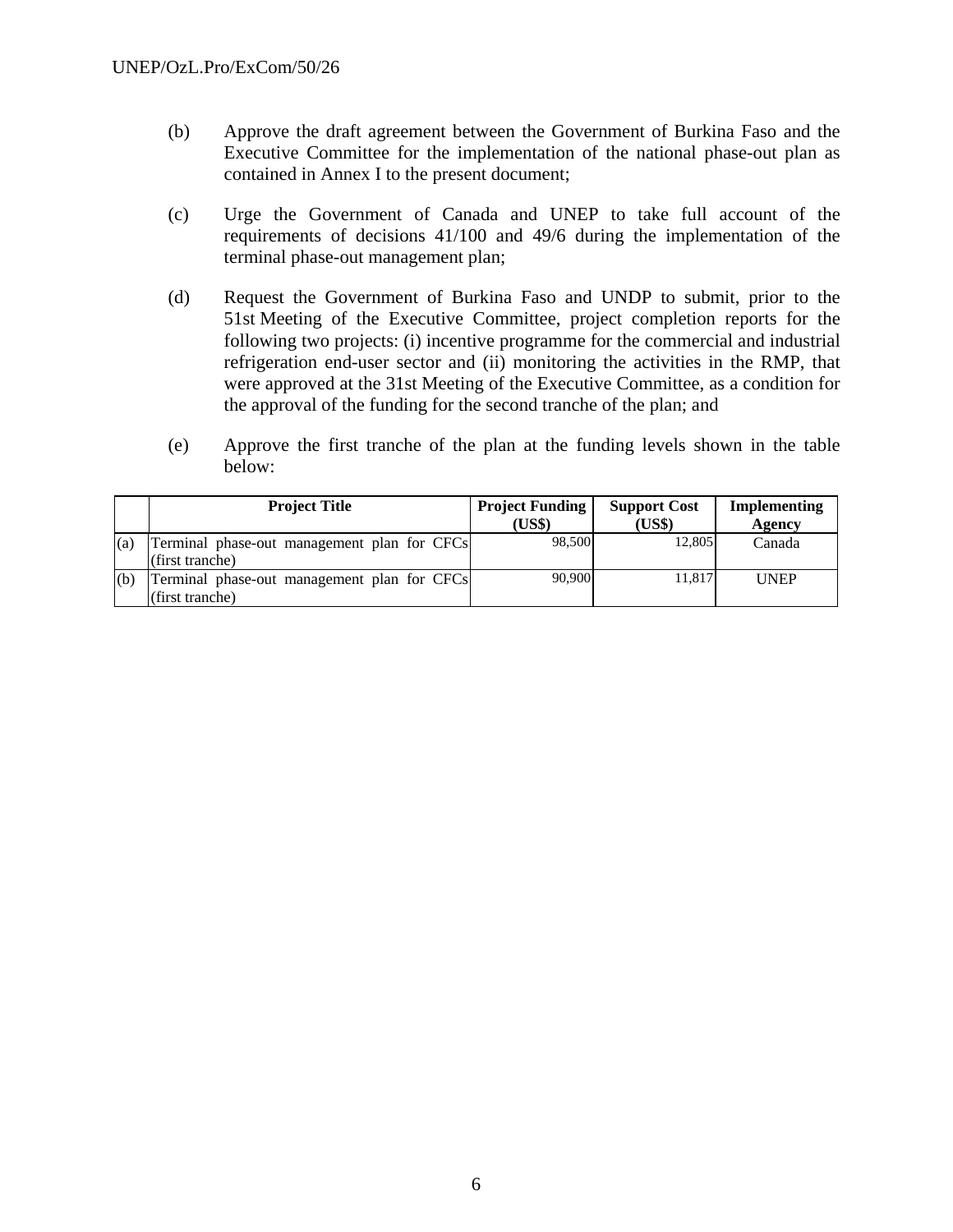- (b) Approve the draft agreement between the Government of Burkina Faso and the Executive Committee for the implementation of the national phase-out plan as contained in Annex I to the present document;
- (c) Urge the Government of Canada and UNEP to take full account of the requirements of decisions 41/100 and 49/6 during the implementation of the terminal phase-out management plan;
- (d) Request the Government of Burkina Faso and UNDP to submit, prior to the 51st Meeting of the Executive Committee, project completion reports for the following two projects: (i) incentive programme for the commercial and industrial refrigeration end-user sector and (ii) monitoring the activities in the RMP, that were approved at the 31st Meeting of the Executive Committee, as a condition for the approval of the funding for the second tranche of the plan; and
- (e) Approve the first tranche of the plan at the funding levels shown in the table below:

|     | <b>Project Title</b>                        | <b>Project Funding</b> | <b>Support Cost</b> | Implementing |
|-----|---------------------------------------------|------------------------|---------------------|--------------|
|     |                                             | (US\$)                 | (US\$)              | Agency       |
| (a) | Terminal phase-out management plan for CFCs | 98.500                 | 12,805              | Canada       |
|     | (first tranche)                             |                        |                     |              |
| (b) | Terminal phase-out management plan for CFCs | 90,900                 | 11.817              | <b>UNEP</b>  |
|     | (first tranche)                             |                        |                     |              |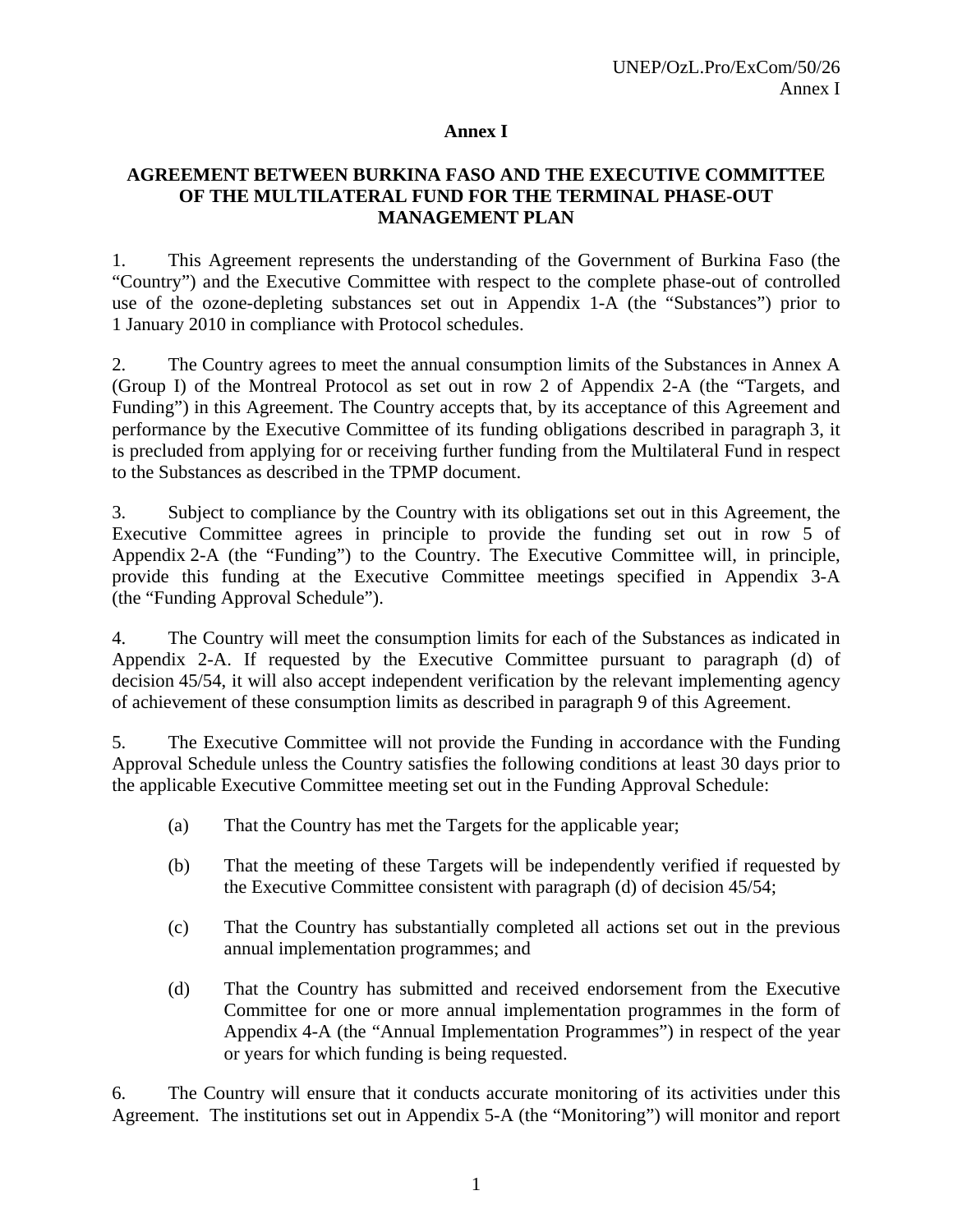#### **Annex I**

#### **AGREEMENT BETWEEN BURKINA FASO AND THE EXECUTIVE COMMITTEE OF THE MULTILATERAL FUND FOR THE TERMINAL PHASE-OUT MANAGEMENT PLAN**

1. This Agreement represents the understanding of the Government of Burkina Faso (the "Country") and the Executive Committee with respect to the complete phase-out of controlled use of the ozone-depleting substances set out in Appendix 1-A (the "Substances") prior to 1 January 2010 in compliance with Protocol schedules.

2. The Country agrees to meet the annual consumption limits of the Substances in Annex A (Group I) of the Montreal Protocol as set out in row 2 of Appendix 2-A (the "Targets, and Funding") in this Agreement. The Country accepts that, by its acceptance of this Agreement and performance by the Executive Committee of its funding obligations described in paragraph 3, it is precluded from applying for or receiving further funding from the Multilateral Fund in respect to the Substances as described in the TPMP document.

3. Subject to compliance by the Country with its obligations set out in this Agreement, the Executive Committee agrees in principle to provide the funding set out in row 5 of Appendix 2-A (the "Funding") to the Country. The Executive Committee will, in principle, provide this funding at the Executive Committee meetings specified in Appendix 3-A (the "Funding Approval Schedule").

4. The Country will meet the consumption limits for each of the Substances as indicated in Appendix 2-A. If requested by the Executive Committee pursuant to paragraph (d) of decision 45/54, it will also accept independent verification by the relevant implementing agency of achievement of these consumption limits as described in paragraph 9 of this Agreement.

5. The Executive Committee will not provide the Funding in accordance with the Funding Approval Schedule unless the Country satisfies the following conditions at least 30 days prior to the applicable Executive Committee meeting set out in the Funding Approval Schedule:

- (a) That the Country has met the Targets for the applicable year;
- (b) That the meeting of these Targets will be independently verified if requested by the Executive Committee consistent with paragraph (d) of decision 45/54;
- (c) That the Country has substantially completed all actions set out in the previous annual implementation programmes; and
- (d) That the Country has submitted and received endorsement from the Executive Committee for one or more annual implementation programmes in the form of Appendix 4-A (the "Annual Implementation Programmes") in respect of the year or years for which funding is being requested.

6. The Country will ensure that it conducts accurate monitoring of its activities under this Agreement. The institutions set out in Appendix 5-A (the "Monitoring") will monitor and report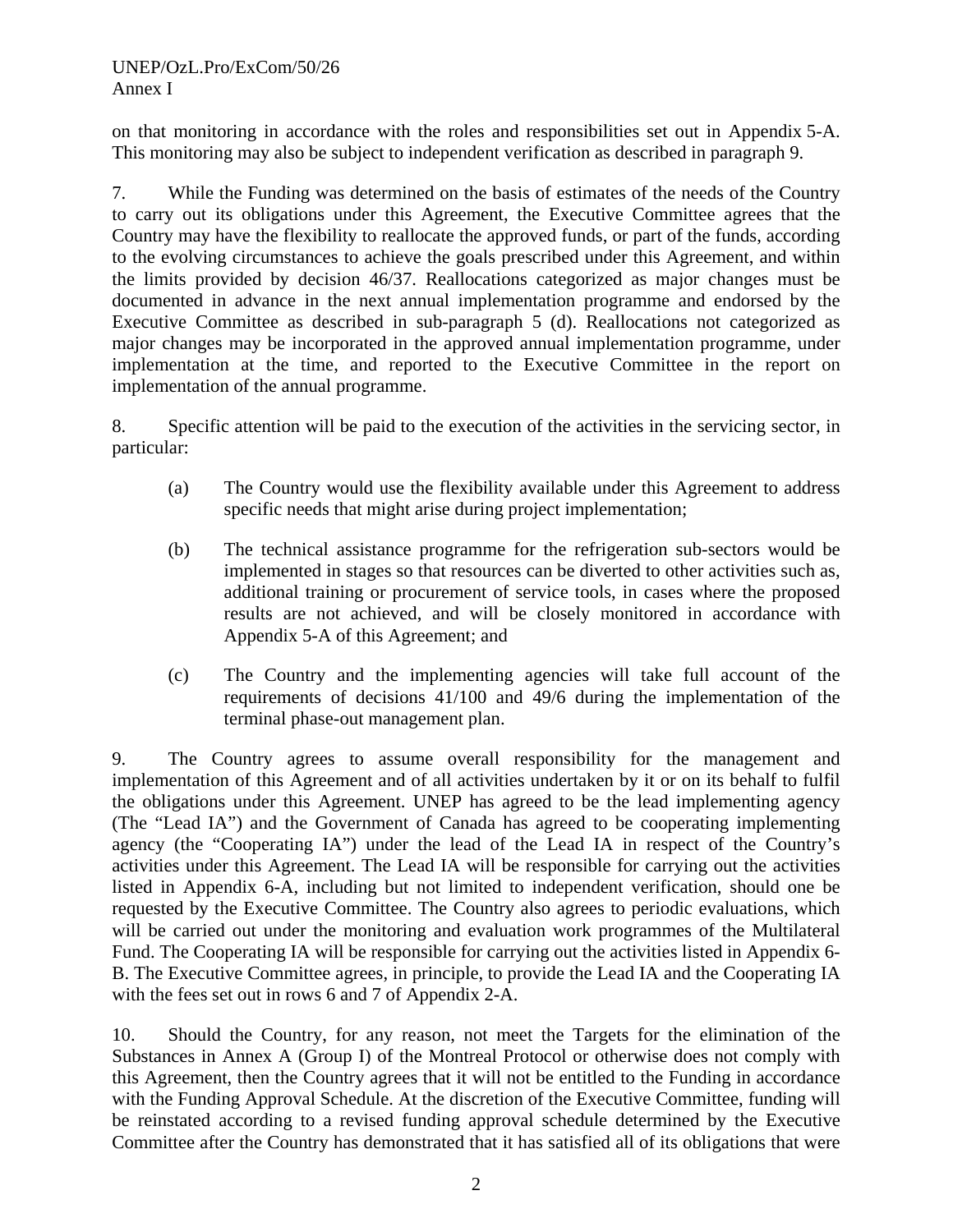on that monitoring in accordance with the roles and responsibilities set out in Appendix 5-A. This monitoring may also be subject to independent verification as described in paragraph 9.

7. While the Funding was determined on the basis of estimates of the needs of the Country to carry out its obligations under this Agreement, the Executive Committee agrees that the Country may have the flexibility to reallocate the approved funds, or part of the funds, according to the evolving circumstances to achieve the goals prescribed under this Agreement, and within the limits provided by decision 46/37. Reallocations categorized as major changes must be documented in advance in the next annual implementation programme and endorsed by the Executive Committee as described in sub-paragraph 5 (d). Reallocations not categorized as major changes may be incorporated in the approved annual implementation programme, under implementation at the time, and reported to the Executive Committee in the report on implementation of the annual programme.

8. Specific attention will be paid to the execution of the activities in the servicing sector, in particular:

- (a) The Country would use the flexibility available under this Agreement to address specific needs that might arise during project implementation;
- (b) The technical assistance programme for the refrigeration sub-sectors would be implemented in stages so that resources can be diverted to other activities such as, additional training or procurement of service tools, in cases where the proposed results are not achieved, and will be closely monitored in accordance with Appendix 5-A of this Agreement; and
- (c) The Country and the implementing agencies will take full account of the requirements of decisions 41/100 and 49/6 during the implementation of the terminal phase-out management plan.

9. The Country agrees to assume overall responsibility for the management and implementation of this Agreement and of all activities undertaken by it or on its behalf to fulfil the obligations under this Agreement. UNEP has agreed to be the lead implementing agency (The "Lead IA") and the Government of Canada has agreed to be cooperating implementing agency (the "Cooperating IA") under the lead of the Lead IA in respect of the Country's activities under this Agreement. The Lead IA will be responsible for carrying out the activities listed in Appendix 6-A, including but not limited to independent verification, should one be requested by the Executive Committee. The Country also agrees to periodic evaluations, which will be carried out under the monitoring and evaluation work programmes of the Multilateral Fund. The Cooperating IA will be responsible for carrying out the activities listed in Appendix 6- B. The Executive Committee agrees, in principle, to provide the Lead IA and the Cooperating IA with the fees set out in rows 6 and 7 of Appendix 2-A.

10. Should the Country, for any reason, not meet the Targets for the elimination of the Substances in Annex A (Group I) of the Montreal Protocol or otherwise does not comply with this Agreement, then the Country agrees that it will not be entitled to the Funding in accordance with the Funding Approval Schedule. At the discretion of the Executive Committee, funding will be reinstated according to a revised funding approval schedule determined by the Executive Committee after the Country has demonstrated that it has satisfied all of its obligations that were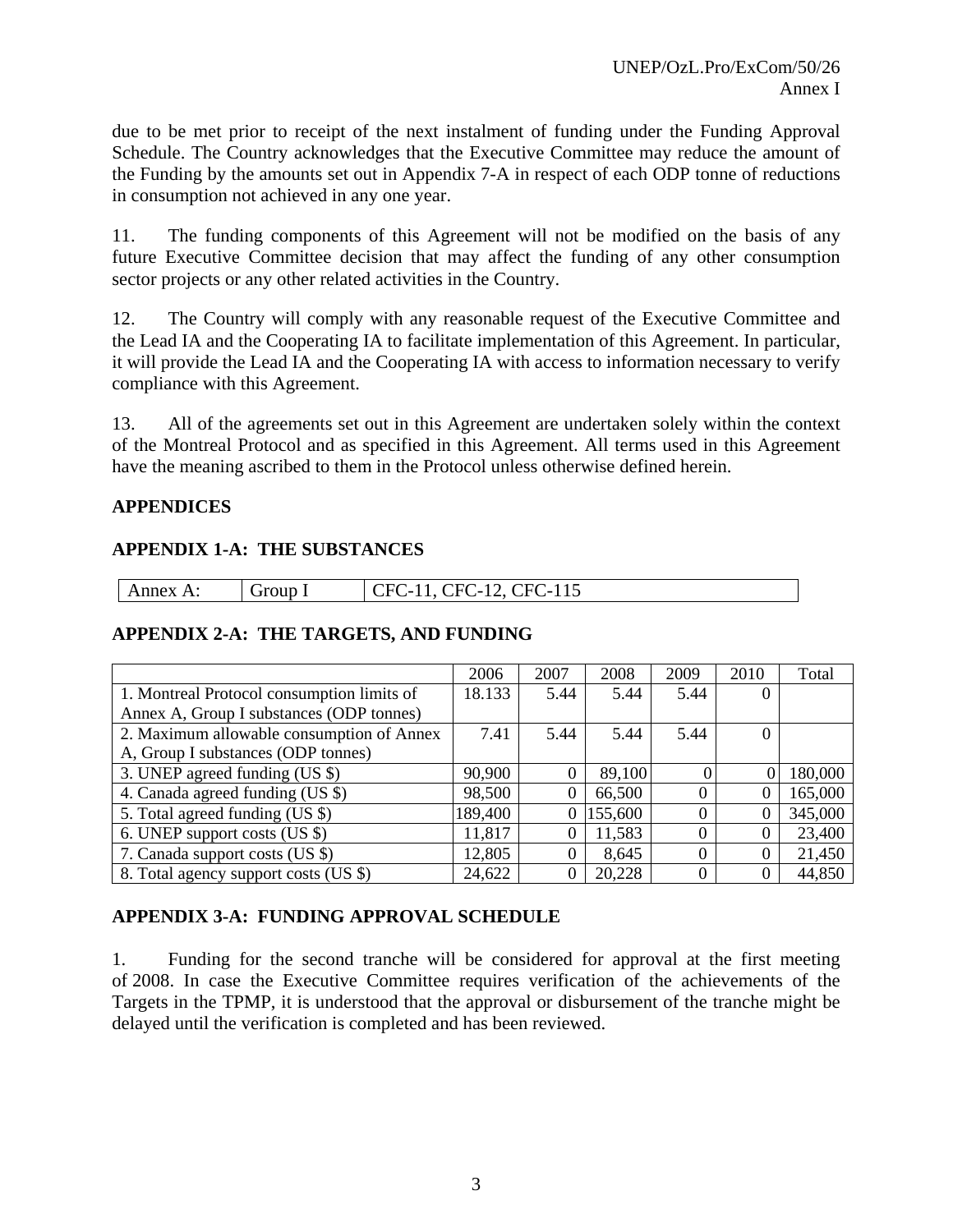due to be met prior to receipt of the next instalment of funding under the Funding Approval Schedule. The Country acknowledges that the Executive Committee may reduce the amount of the Funding by the amounts set out in Appendix 7-A in respect of each ODP tonne of reductions in consumption not achieved in any one year.

11. The funding components of this Agreement will not be modified on the basis of any future Executive Committee decision that may affect the funding of any other consumption sector projects or any other related activities in the Country.

12. The Country will comply with any reasonable request of the Executive Committee and the Lead IA and the Cooperating IA to facilitate implementation of this Agreement. In particular, it will provide the Lead IA and the Cooperating IA with access to information necessary to verify compliance with this Agreement.

13. All of the agreements set out in this Agreement are undertaken solely within the context of the Montreal Protocol and as specified in this Agreement. All terms used in this Agreement have the meaning ascribed to them in the Protocol unless otherwise defined herein.

#### **APPENDICES**

#### **APPENDIX 1-A: THE SUBSTANCES**

| $\Delta$<br>пех.<br>.<br>$\mathbf{1}$ and $\mathbf{1}$ | . | 11 $\epsilon$<br>`⊢′<br>$\overline{\phantom{0}}$<br>$\overline{\phantom{0}}$<br>$\overline{\phantom{0}}$<br>11J<br>ັ<br>◡▴<br>.<br>-<br>-- |
|--------------------------------------------------------|---|--------------------------------------------------------------------------------------------------------------------------------------------|

#### **APPENDIX 2-A: THE TARGETS, AND FUNDING**

|                                            | 2006    | 2007     | 2008    | 2009     | 2010           | Total   |
|--------------------------------------------|---------|----------|---------|----------|----------------|---------|
| 1. Montreal Protocol consumption limits of | 18.133  | 5.44     | 5.44    | 5.44     | $\theta$       |         |
| Annex A, Group I substances (ODP tonnes)   |         |          |         |          |                |         |
| 2. Maximum allowable consumption of Annex  | 7.41    | 5.44     | 5.44    | 5.44     | $\overline{0}$ |         |
| A, Group I substances (ODP tonnes)         |         |          |         |          |                |         |
| 3. UNEP agreed funding (US \$)             | 90,900  | $\Omega$ | 89,100  | $\Omega$ | $\Omega$       | 180,000 |
| 4. Canada agreed funding (US \$)           | 98,500  | $\theta$ | 66,500  | 0        | $\theta$       | 165,000 |
| 5. Total agreed funding (US \$)            | 189,400 | $\Omega$ | 155,600 |          | $\theta$       | 345,000 |
| 6. UNEP support costs (US \$)              | 11,817  | $\Omega$ | 11,583  | $\Omega$ | $\Omega$       | 23,400  |
| 7. Canada support costs (US \$)            | 12,805  | $\Omega$ | 8,645   | 0        | $\theta$       | 21,450  |
| 8. Total agency support costs (US \$)      | 24,622  | $\Omega$ | 20,228  | 0        | $\Omega$       | 44,850  |

#### **APPENDIX 3-A: FUNDING APPROVAL SCHEDULE**

1. Funding for the second tranche will be considered for approval at the first meeting of 2008. In case the Executive Committee requires verification of the achievements of the Targets in the TPMP, it is understood that the approval or disbursement of the tranche might be delayed until the verification is completed and has been reviewed.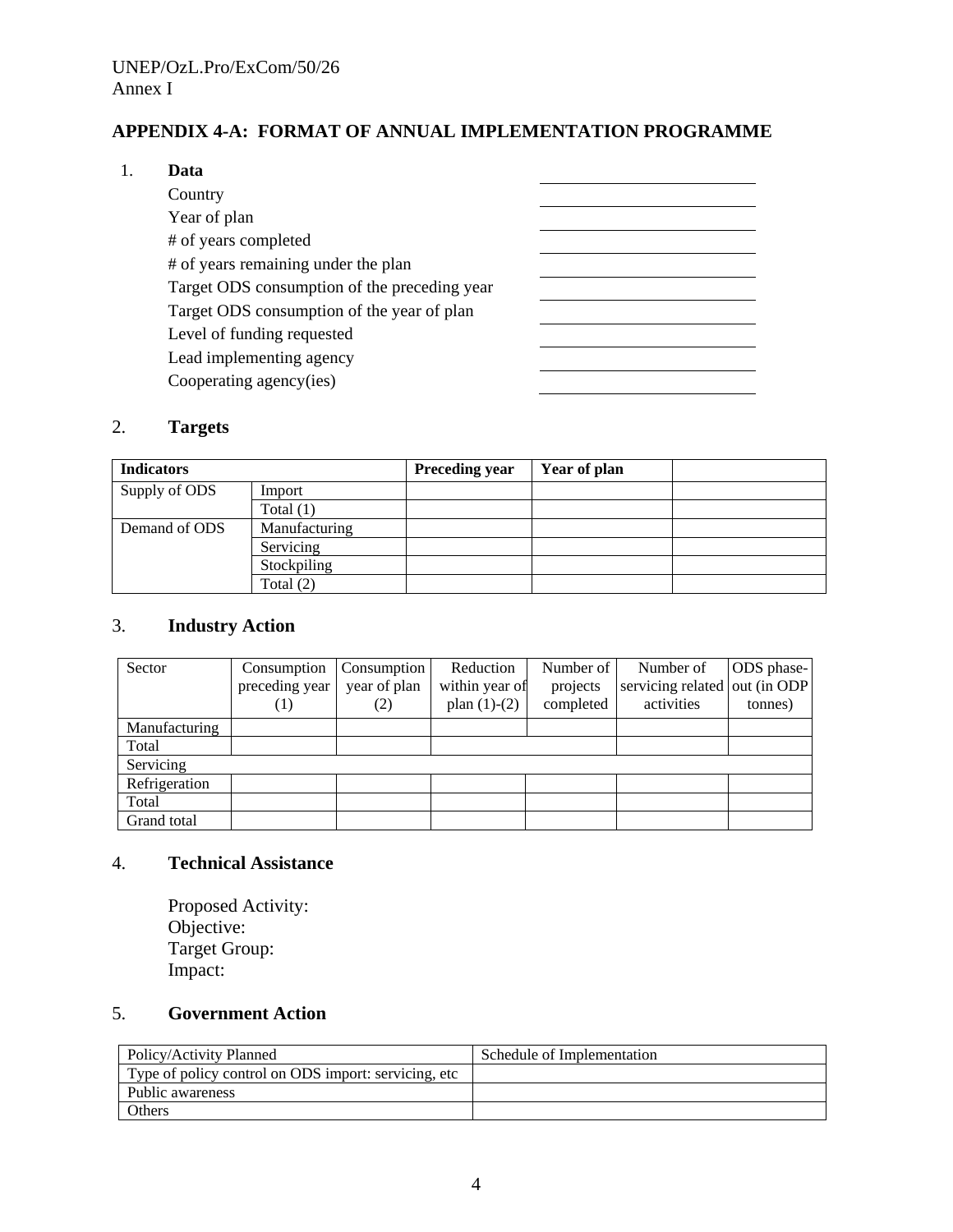# **APPENDIX 4-A: FORMAT OF ANNUAL IMPLEMENTATION PROGRAMME**

#### 1. **Data**

| Country                                      |  |
|----------------------------------------------|--|
| Year of plan                                 |  |
| # of years completed                         |  |
| # of years remaining under the plan          |  |
| Target ODS consumption of the preceding year |  |
| Target ODS consumption of the year of plan   |  |
| Level of funding requested                   |  |
| Lead implementing agency                     |  |
| Cooperating agency(ies)                      |  |

## 2. **Targets**

| <b>Indicators</b> |               | <b>Preceding year</b> | Year of plan |  |
|-------------------|---------------|-----------------------|--------------|--|
| Supply of ODS     | Import        |                       |              |  |
|                   | Total $(1)$   |                       |              |  |
| Demand of ODS     | Manufacturing |                       |              |  |
|                   | Servicing     |                       |              |  |
|                   | Stockpiling   |                       |              |  |
|                   | Total (2)     |                       |              |  |

# 3. **Industry Action**

| Sector        | Consumption<br>preceding year<br>$\perp$ | Consumption<br>year of plan<br>(2) | Reduction<br>within year of<br>plan $(1)-(2)$ | Number of<br>projects<br>completed | Number of<br>servicing related out (in ODP)<br>activities | ODS phase-<br>tonnes) |
|---------------|------------------------------------------|------------------------------------|-----------------------------------------------|------------------------------------|-----------------------------------------------------------|-----------------------|
| Manufacturing |                                          |                                    |                                               |                                    |                                                           |                       |
| Total         |                                          |                                    |                                               |                                    |                                                           |                       |
| Servicing     |                                          |                                    |                                               |                                    |                                                           |                       |
| Refrigeration |                                          |                                    |                                               |                                    |                                                           |                       |
| Total         |                                          |                                    |                                               |                                    |                                                           |                       |
| Grand total   |                                          |                                    |                                               |                                    |                                                           |                       |

# 4. **Technical Assistance**

Proposed Activity: Objective: Target Group: Impact:

# 5. **Government Action**

| Policy/Activity Planned                               | Schedule of Implementation |
|-------------------------------------------------------|----------------------------|
| Type of policy control on ODS import: servicing, etc. |                            |
| Public awareness                                      |                            |
| Others                                                |                            |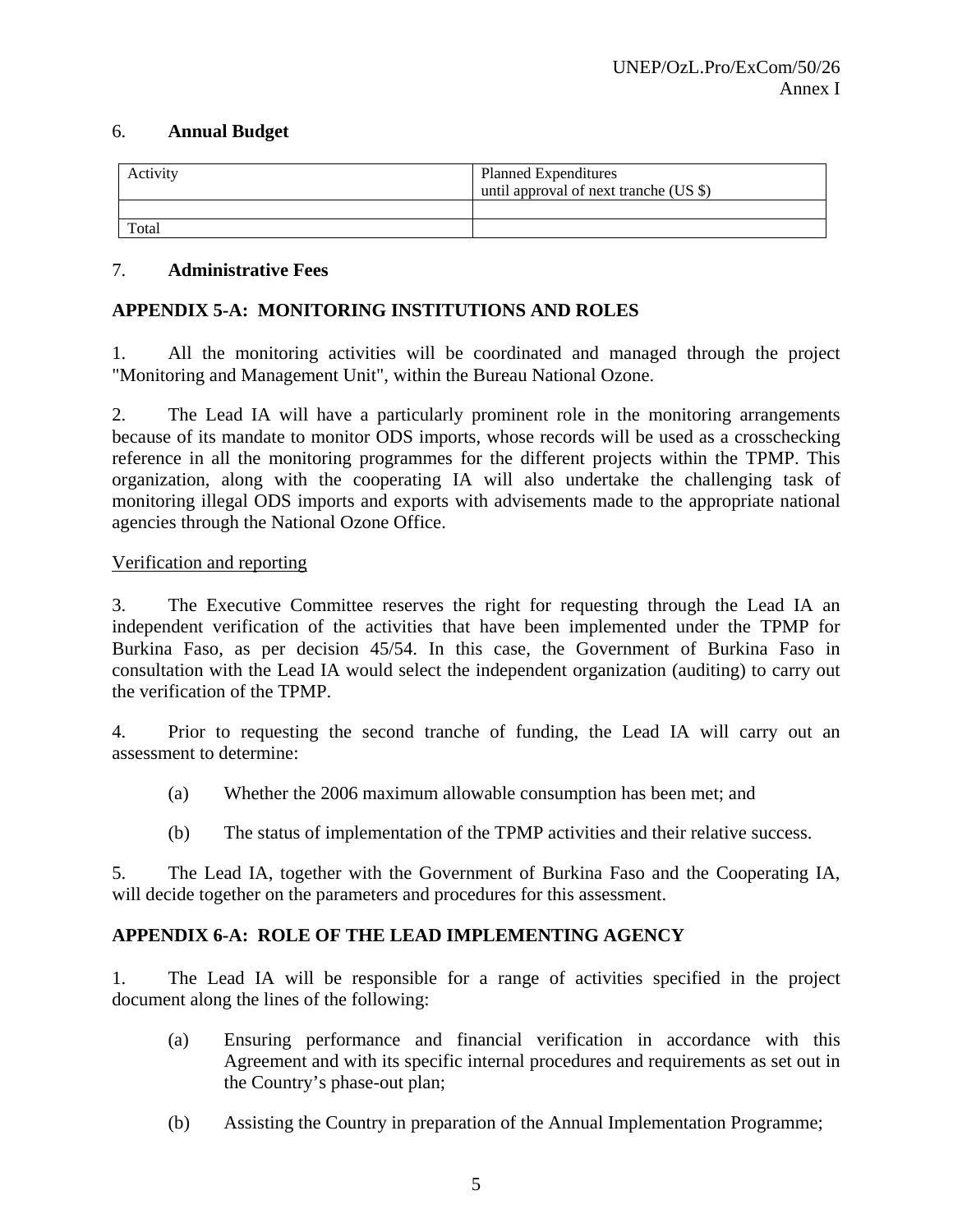#### 6. **Annual Budget**

| Activity | <b>Planned Expenditures</b><br>until approval of next tranche (US \$) |
|----------|-----------------------------------------------------------------------|
|          |                                                                       |
| Total    |                                                                       |

#### 7. **Administrative Fees**

# **APPENDIX 5-A: MONITORING INSTITUTIONS AND ROLES**

1. All the monitoring activities will be coordinated and managed through the project "Monitoring and Management Unit", within the Bureau National Ozone.

2. The Lead IA will have a particularly prominent role in the monitoring arrangements because of its mandate to monitor ODS imports, whose records will be used as a crosschecking reference in all the monitoring programmes for the different projects within the TPMP. This organization, along with the cooperating IA will also undertake the challenging task of monitoring illegal ODS imports and exports with advisements made to the appropriate national agencies through the National Ozone Office.

#### Verification and reporting

3. The Executive Committee reserves the right for requesting through the Lead IA an independent verification of the activities that have been implemented under the TPMP for Burkina Faso, as per decision 45/54. In this case, the Government of Burkina Faso in consultation with the Lead IA would select the independent organization (auditing) to carry out the verification of the TPMP.

4. Prior to requesting the second tranche of funding, the Lead IA will carry out an assessment to determine:

- (a) Whether the 2006 maximum allowable consumption has been met; and
- (b) The status of implementation of the TPMP activities and their relative success.

5. The Lead IA, together with the Government of Burkina Faso and the Cooperating IA, will decide together on the parameters and procedures for this assessment.

#### **APPENDIX 6-A: ROLE OF THE LEAD IMPLEMENTING AGENCY**

1. The Lead IA will be responsible for a range of activities specified in the project document along the lines of the following:

- (a) Ensuring performance and financial verification in accordance with this Agreement and with its specific internal procedures and requirements as set out in the Country's phase-out plan;
- (b) Assisting the Country in preparation of the Annual Implementation Programme;